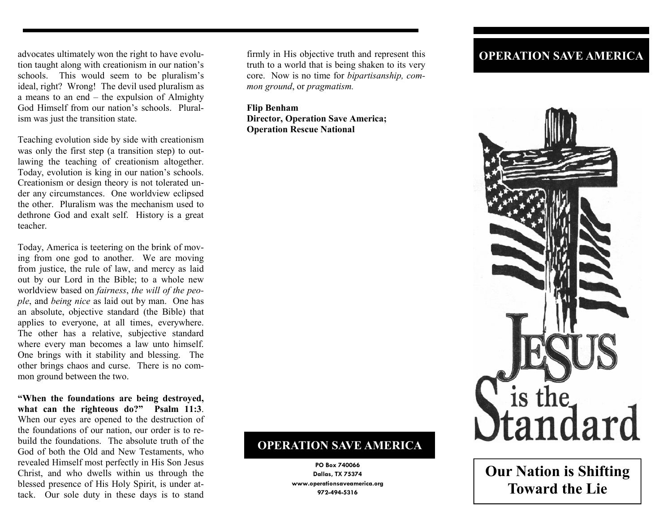advocates ultimately won the right to have evolution taught along with creationism in our nation's schools. This would seem to be pluralism's ideal, right? Wrong! The devil used pluralism as a means to an end – the expulsion of Almighty God Himself from our nation's schools. Pluralism was just the transition state.

Teaching evolution side by side with creationism was only the first step (a transition step) to outlawing the teaching of creationism altogether. Today, evolution is king in our nation's schools. Creationism or design theory is not tolerated under any circumstances. One worldview eclipsed the other. Pluralism was the mechanism used to dethrone God and exalt self. History is a great teacher.

Today, America is teetering on the brink of moving from one god to another. We are moving from justice, the rule of law, and mercy as laid out by our Lord in the Bible; to a whole new worldview based on *fairness*, *the will of the people*, and *being nice* as laid out by man. One has an absolute, objective standard (the Bible) that applies to everyone, at all times, everywhere. The other has a relative, subjective standard where every man becomes a law unto himself. One brings with it stability and blessing. The other brings chaos and curse. There is no common ground between the two.

**"When the foundations are being destroyed, what can the righteous do?" Psalm 11:3**. When our eyes are opened to the destruction of the foundations of our nation, our order is to rebuild the foundations. The absolute truth of the God of both the Old and New Testaments, who revealed Himself most perfectly in His Son Jesus Christ, and who dwells within us through the blessed presence of His Holy Spirit, is under attack. Our sole duty in these days is to stand

firmly in His objective truth and represent this truth to a world that is being shaken to its very core. Now is no time for *bipartisanship, common ground*, or *pragmatism.* 

**Flip Benham Director, Operation Save America; Operation Rescue National** 

## **OPERATION SAVE AMERICA**

**PO Box 740066 Dallas, TX 75374 www.operationsaveamerica.org 972-494-5316** 

## **OPERATION SAVE AMERICA**



**Our Nation is Shifting Toward the Lie**